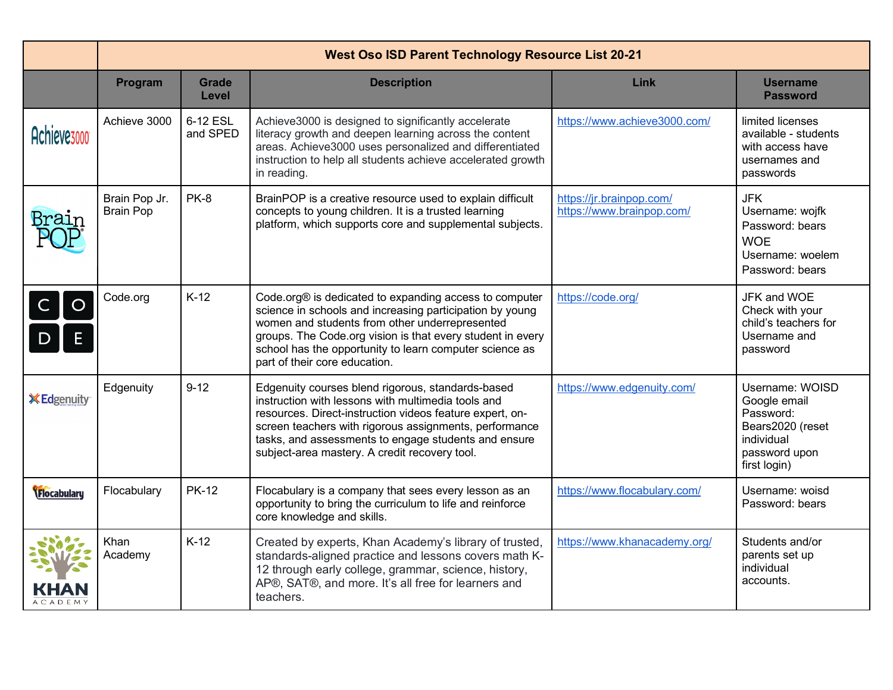|                         | <b>West Oso ISD Parent Technology Resource List 20-21</b> |                       |                                                                                                                                                                                                                                                                                                                                        |                                                       |                                                                                                                 |  |  |  |
|-------------------------|-----------------------------------------------------------|-----------------------|----------------------------------------------------------------------------------------------------------------------------------------------------------------------------------------------------------------------------------------------------------------------------------------------------------------------------------------|-------------------------------------------------------|-----------------------------------------------------------------------------------------------------------------|--|--|--|
|                         | Program                                                   | <b>Grade</b><br>Level | <b>Description</b>                                                                                                                                                                                                                                                                                                                     | Link                                                  | <b>Username</b><br><b>Password</b>                                                                              |  |  |  |
| Achieve <sub>3000</sub> | Achieve 3000                                              | 6-12 ESL<br>and SPED  | Achieve3000 is designed to significantly accelerate<br>literacy growth and deepen learning across the content<br>areas. Achieve3000 uses personalized and differentiated<br>instruction to help all students achieve accelerated growth<br>in reading.                                                                                 | https://www.achieve3000.com/                          | limited licenses<br>available - students<br>with access have<br>usernames and<br>passwords                      |  |  |  |
|                         | Brain Pop Jr.<br><b>Brain Pop</b>                         | <b>PK-8</b>           | BrainPOP is a creative resource used to explain difficult<br>concepts to young children. It is a trusted learning<br>platform, which supports core and supplemental subjects.                                                                                                                                                          | https://jr.brainpop.com/<br>https://www.brainpop.com/ | <b>JFK</b><br>Username: wojfk<br>Password: bears<br><b>WOE</b><br>Username: woelem<br>Password: bears           |  |  |  |
| $\circ$                 | Code.org                                                  | $K-12$                | Code.org® is dedicated to expanding access to computer<br>science in schools and increasing participation by young<br>women and students from other underrepresented<br>groups. The Code.org vision is that every student in every<br>school has the opportunity to learn computer science as<br>part of their core education.         | https://code.org/                                     | JFK and WOE<br>Check with your<br>child's teachers for<br>Username and<br>password                              |  |  |  |
| <b>X</b> Edgenuity      | Edgenuity                                                 | $9 - 12$              | Edgenuity courses blend rigorous, standards-based<br>instruction with lessons with multimedia tools and<br>resources. Direct-instruction videos feature expert, on-<br>screen teachers with rigorous assignments, performance<br>tasks, and assessments to engage students and ensure<br>subject-area mastery. A credit recovery tool. | https://www.edgenuity.com/                            | Username: WOISD<br>Google email<br>Password:<br>Bears2020 (reset<br>individual<br>password upon<br>first login) |  |  |  |
| <b>Flocabulary</b>      | Flocabulary                                               | <b>PK-12</b>          | Flocabulary is a company that sees every lesson as an<br>opportunity to bring the curriculum to life and reinforce<br>core knowledge and skills.                                                                                                                                                                                       | https://www.flocabulary.com/                          | Username: woisd<br>Password: bears                                                                              |  |  |  |
|                         | Khan<br>Academy                                           | $K-12$                | Created by experts, Khan Academy's library of trusted,<br>standards-aligned practice and lessons covers math K-<br>12 through early college, grammar, science, history,<br>AP®, SAT®, and more. It's all free for learners and<br>teachers.                                                                                            | https://www.khanacademy.org/                          | Students and/or<br>parents set up<br>individual<br>accounts.                                                    |  |  |  |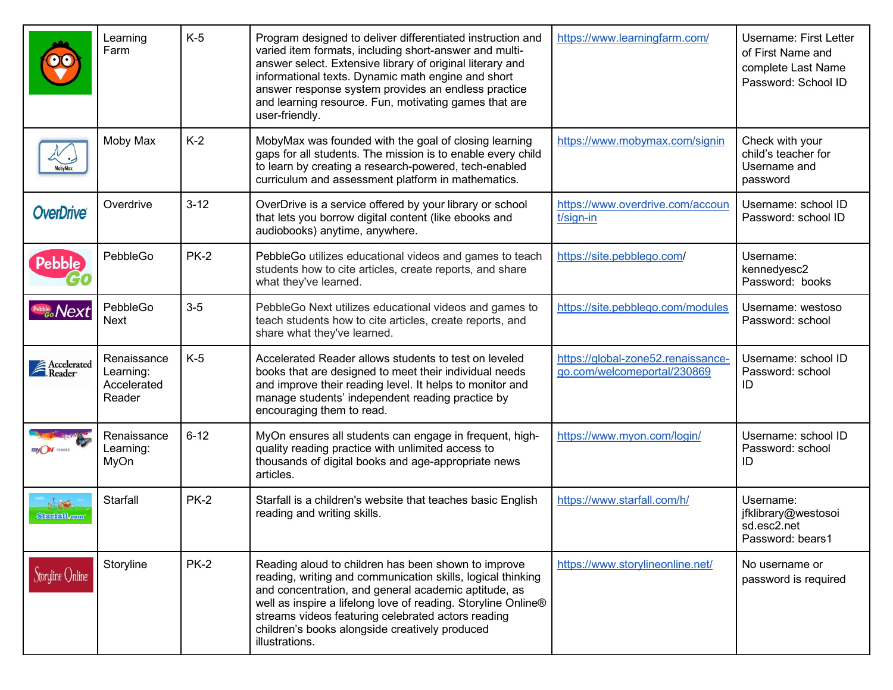|                                  | Learning<br>Farm                                  | $K-5$       | Program designed to deliver differentiated instruction and<br>varied item formats, including short-answer and multi-<br>answer select. Extensive library of original literary and<br>informational texts. Dynamic math engine and short<br>answer response system provides an endless practice<br>and learning resource. Fun, motivating games that are<br>user-friendly. | https://www.learningfarm.com/                                     | <b>Username: First Letter</b><br>of First Name and<br>complete Last Name<br>Password: School ID |
|----------------------------------|---------------------------------------------------|-------------|---------------------------------------------------------------------------------------------------------------------------------------------------------------------------------------------------------------------------------------------------------------------------------------------------------------------------------------------------------------------------|-------------------------------------------------------------------|-------------------------------------------------------------------------------------------------|
|                                  | Moby Max                                          | $K-2$       | MobyMax was founded with the goal of closing learning<br>gaps for all students. The mission is to enable every child<br>to learn by creating a research-powered, tech-enabled<br>curriculum and assessment platform in mathematics.                                                                                                                                       | https://www.mobymax.com/signin                                    | Check with your<br>child's teacher for<br>Username and<br>password                              |
| <b>OverDrive®</b>                | Overdrive                                         | $3 - 12$    | OverDrive is a service offered by your library or school<br>that lets you borrow digital content (like ebooks and<br>audiobooks) anytime, anywhere.                                                                                                                                                                                                                       | https://www.overdrive.com/accoun<br>t/sign-in                     | Username: school ID<br>Password: school ID                                                      |
| <b>Pebble</b>                    | PebbleGo                                          | <b>PK-2</b> | PebbleGo utilizes educational videos and games to teach<br>students how to cite articles, create reports, and share<br>what they've learned.                                                                                                                                                                                                                              | https://site.pebblego.com/                                        | Username:<br>kennedyesc2<br>Password: books                                                     |
| Pebble Next                      | PebbleGo<br><b>Next</b>                           | $3-5$       | PebbleGo Next utilizes educational videos and games to<br>teach students how to cite articles, create reports, and<br>share what they've learned.                                                                                                                                                                                                                         | https://site.pebblego.com/modules                                 | Username: westoso<br>Password: school                                                           |
| Accelerated<br>Reader            | Renaissance<br>Learning:<br>Accelerated<br>Reader | $K-5$       | Accelerated Reader allows students to test on leveled<br>books that are designed to meet their individual needs<br>and improve their reading level. It helps to monitor and<br>manage students' independent reading practice by<br>encouraging them to read.                                                                                                              | https://global-zone52.renaissance-<br>qo.com/welcomeportal/230869 | Username: school ID<br>Password: school<br>ID                                                   |
|                                  | Renaissance<br>Learning:<br>MyOn                  | $6 - 12$    | MyOn ensures all students can engage in frequent, high-<br>quality reading practice with unlimited access to<br>thousands of digital books and age-appropriate news<br>articles.                                                                                                                                                                                          | https://www.myon.com/login/                                       | Username: school ID<br>Password: school<br>ID                                                   |
| شكاني آبو<br><b>Starfall.com</b> | Starfall                                          | <b>PK-2</b> | Starfall is a children's website that teaches basic English<br>reading and writing skills.                                                                                                                                                                                                                                                                                | https://www.starfall.com/h/                                       | Username:<br>jfklibrary@westosoi<br>sd.esc2.net<br>Password: bears1                             |
| Storyline Online                 | Storyline                                         | <b>PK-2</b> | Reading aloud to children has been shown to improve<br>reading, writing and communication skills, logical thinking<br>and concentration, and general academic aptitude, as<br>well as inspire a lifelong love of reading. Storyline Online®<br>streams videos featuring celebrated actors reading<br>children's books alongside creatively produced<br>illustrations.     | https://www.storylineonline.net/                                  | No username or<br>password is required                                                          |